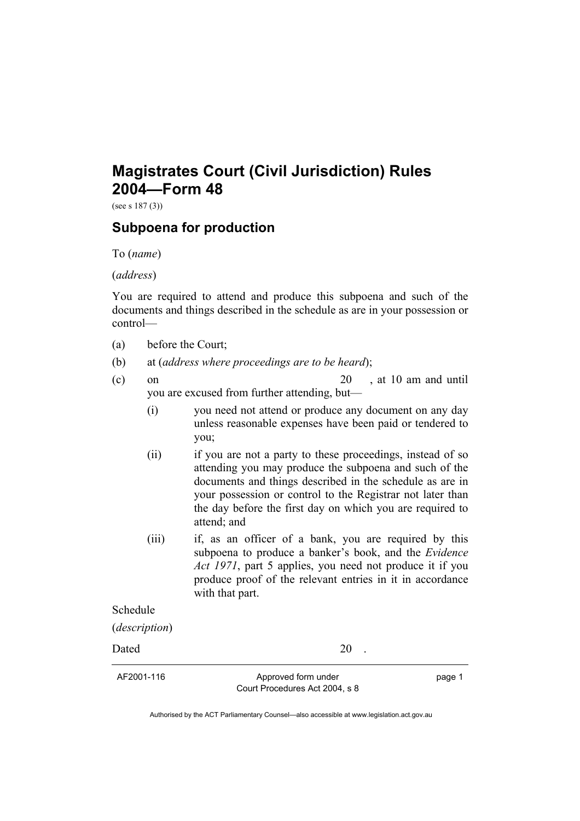## **Magistrates Court (Civil Jurisdiction) Rules 2004—Form 48**

(see s 187 (3))

## **Subpoena for production**

To (*name*)

(*address*)

You are required to attend and produce this subpoena and such of the documents and things described in the schedule as are in your possession or control—

- (a) before the Court;
- (b) at (*address where proceedings are to be heard*);
- (c) on  $20$ , at 10 am and until you are excused from further attending, but—
	- (i) you need not attend or produce any document on any day unless reasonable expenses have been paid or tendered to you;
	- (ii) if you are not a party to these proceedings, instead of so attending you may produce the subpoena and such of the documents and things described in the schedule as are in your possession or control to the Registrar not later than the day before the first day on which you are required to attend; and
	- (iii) if, as an officer of a bank, you are required by this subpoena to produce a banker's book, and the *Evidence Act 1971*, part 5 applies, you need not produce it if you produce proof of the relevant entries in it in accordance with that part.

Schedule

(*description*)

Dated 20 .

AF2001-116 Approved form under Court Procedures Act 2004, s 8 page 1

Authorised by the ACT Parliamentary Counsel—also accessible at www.legislation.act.gov.au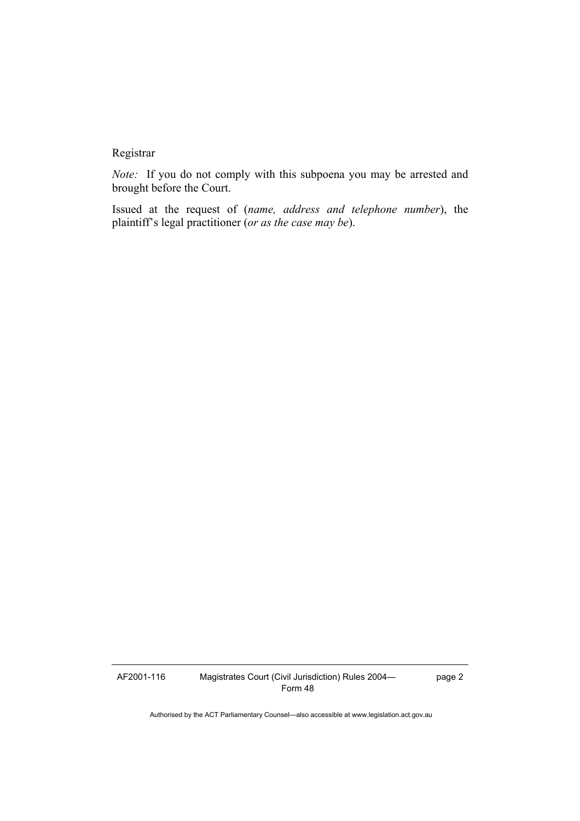## Registrar

*Note:* If you do not comply with this subpoena you may be arrested and brought before the Court.

Issued at the request of (*name, address and telephone number*), the plaintiff's legal practitioner (*or as the case may be*).

AF2001-116 Magistrates Court (Civil Jurisdiction) Rules 2004— Form 48

page 2

Authorised by the ACT Parliamentary Counsel—also accessible at www.legislation.act.gov.au